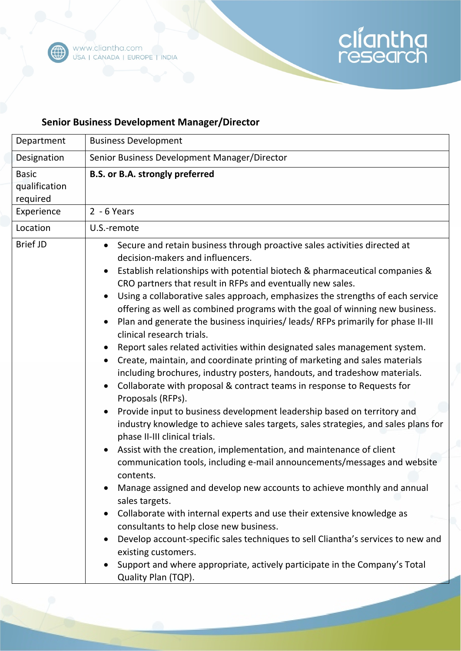

## cliantha

## **Senior Business Development Manager/Director**

| Department                                              | <b>Business Development</b>                                                                                                                                                                                                                                                                                                                                                                                                                                                                                                                                                                                                                                                                                                                                                                                                                                                                                                                                                                                                                                                                                                                                                                                                                                                                                                                                                                                                                                                                                                                                                                                                                                                                                                                                            |
|---------------------------------------------------------|------------------------------------------------------------------------------------------------------------------------------------------------------------------------------------------------------------------------------------------------------------------------------------------------------------------------------------------------------------------------------------------------------------------------------------------------------------------------------------------------------------------------------------------------------------------------------------------------------------------------------------------------------------------------------------------------------------------------------------------------------------------------------------------------------------------------------------------------------------------------------------------------------------------------------------------------------------------------------------------------------------------------------------------------------------------------------------------------------------------------------------------------------------------------------------------------------------------------------------------------------------------------------------------------------------------------------------------------------------------------------------------------------------------------------------------------------------------------------------------------------------------------------------------------------------------------------------------------------------------------------------------------------------------------------------------------------------------------------------------------------------------------|
| Designation                                             | Senior Business Development Manager/Director                                                                                                                                                                                                                                                                                                                                                                                                                                                                                                                                                                                                                                                                                                                                                                                                                                                                                                                                                                                                                                                                                                                                                                                                                                                                                                                                                                                                                                                                                                                                                                                                                                                                                                                           |
| <b>Basic</b><br>qualification<br>required<br>Experience | <b>B.S. or B.A. strongly preferred</b><br>$2 - 6$ Years                                                                                                                                                                                                                                                                                                                                                                                                                                                                                                                                                                                                                                                                                                                                                                                                                                                                                                                                                                                                                                                                                                                                                                                                                                                                                                                                                                                                                                                                                                                                                                                                                                                                                                                |
| Location                                                | U.S.-remote                                                                                                                                                                                                                                                                                                                                                                                                                                                                                                                                                                                                                                                                                                                                                                                                                                                                                                                                                                                                                                                                                                                                                                                                                                                                                                                                                                                                                                                                                                                                                                                                                                                                                                                                                            |
| <b>Brief JD</b>                                         | Secure and retain business through proactive sales activities directed at<br>$\bullet$<br>decision-makers and influencers.<br>Establish relationships with potential biotech & pharmaceutical companies &<br>$\bullet$<br>CRO partners that result in RFPs and eventually new sales.<br>Using a collaborative sales approach, emphasizes the strengths of each service<br>$\bullet$<br>offering as well as combined programs with the goal of winning new business.<br>Plan and generate the business inquiries/ leads/ RFPs primarily for phase II-III<br>clinical research trials.<br>Report sales related activities within designated sales management system.<br>$\bullet$<br>Create, maintain, and coordinate printing of marketing and sales materials<br>$\bullet$<br>including brochures, industry posters, handouts, and tradeshow materials.<br>Collaborate with proposal & contract teams in response to Requests for<br>Proposals (RFPs).<br>Provide input to business development leadership based on territory and<br>$\bullet$<br>industry knowledge to achieve sales targets, sales strategies, and sales plans for<br>phase II-III clinical trials.<br>Assist with the creation, implementation, and maintenance of client<br>communication tools, including e-mail announcements/messages and website<br>contents.<br>Manage assigned and develop new accounts to achieve monthly and annual<br>sales targets.<br>Collaborate with internal experts and use their extensive knowledge as<br>consultants to help close new business.<br>Develop account-specific sales techniques to sell Cliantha's services to new and<br>existing customers.<br>Support and where appropriate, actively participate in the Company's Total<br>Quality Plan (TQP). |